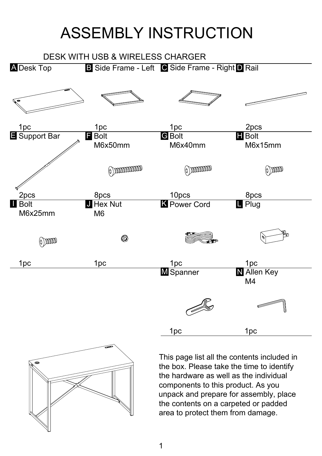## ASSEMBLY INSTRUCTION

## DESK WITH USB & WIRELESS CHARGER





This page list all the contents included in the box. Please take the time to identify the hardware as well as the individual components to this product. As you unpack and prepare for assembly, place the contents on a carpeted or padded area to protect them from damage.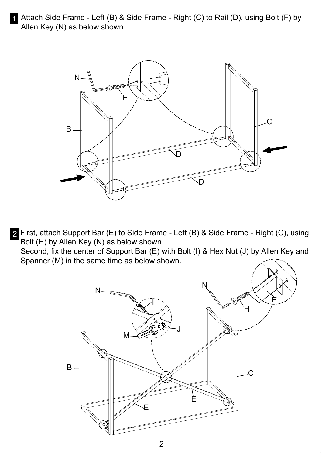1 Attach Side Frame - Left (B) & Side Frame - Right (C) to Rail (D), using Bolt (F) by Allen Key (N) as below shown.



2 First, attach Support Bar (E) to Side Frame - Left (B) & Side Frame - Right (C), using Bolt (H) by Allen Key (N) as below shown. Second, fix the center of Support Bar (E) with Bolt (I) & Hex Nut (J) by Allen Key and Spanner (M) in the same time as below shown.

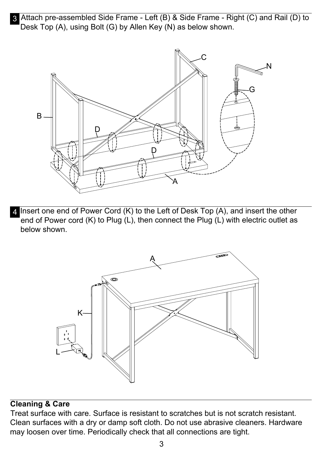3 Attach pre-assembled Side Frame - Left (B) & Side Frame - Right (C) and Rail (D) to Desk Top (A), using Bolt (G) by Allen Key (N) as below shown.



4 Insert one end of Power Cord (K) to the Left of Desk Top (A), and insert the other end of Power cord (K) to Plug (L), then connect the Plug (L) with electric outlet as below shown.



## **Cleaning & Care**

Treat surface with care. Surface is resistant to scratches but is not scratch resistant. Clean surfaces with a dry or damp soft cloth. Do not use abrasive cleaners. Hardware may loosen over time. Periodically check that all connections are tight.